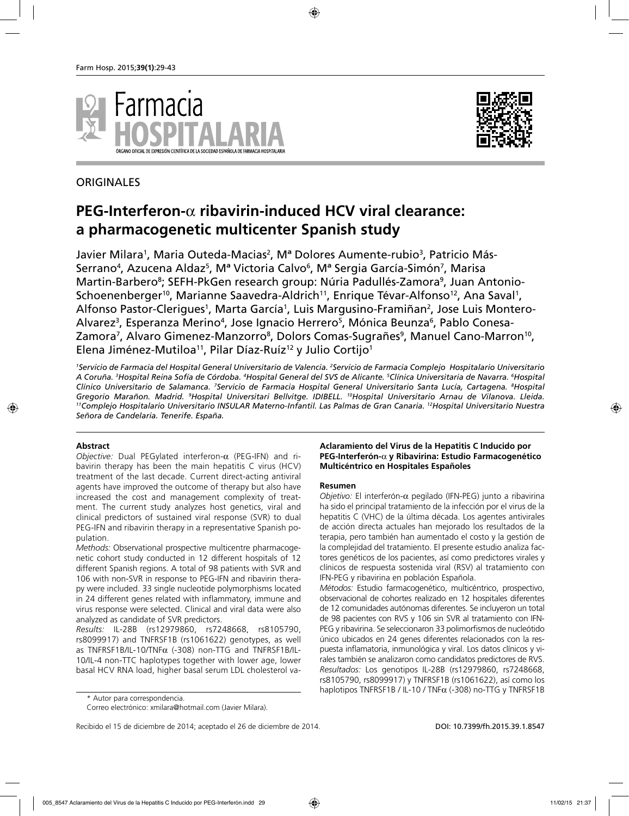



## **ORIGINALES**

# **PEG-Interferon-**α **ribavirin-induced HCV viral clearance: a pharmacogenetic multicenter Spanish study**

Javier Milara<sup>1</sup>, Maria Outeda-Macias<sup>2</sup>, Mª Dolores Aumente-rubio<sup>3</sup>, Patricio Más-Serrano<sup>4</sup>, Azucena Aldaz<sup>5</sup>, Mª Victoria Calvo<sup>6</sup>, Mª Sergia García-Simón<sup>7</sup>, Marisa Martin-Barbero<sup>8</sup>; SEFH-PkGen research group: Núria Padullés-Zamora<sup>9</sup>, Juan Antonio-Schoenenberger<sup>10</sup>, Marianne Saavedra-Aldrich<sup>11</sup>, Enrique Tévar-Alfonso<sup>12</sup>, Ana Saval<sup>1</sup>, Alfonso Pastor-Clerigues<sup>1</sup>, Marta García<sup>1</sup>, Luis Margusino-Framiñan<sup>2</sup>, Jose Luis Montero-Alvarez<sup>3</sup>, Esperanza Merino<sup>4</sup>, Jose Ignacio Herrero<sup>5</sup>, Mónica Beunza<sup>6</sup>, Pablo Conesa-Zamora<sup>7</sup>, Alvaro Gimenez-Manzorro<sup>8</sup>, Dolors Comas-Sugrañes<sup>9</sup>, Manuel Cano-Marron<sup>10</sup>, Elena Jiménez-Mutiloa<sup>11</sup>, Pilar Díaz-Ruíz<sup>12</sup> y Julio Cortijo<sup>1</sup>

<sup>1</sup>Servicio de Farmacia del Hospital General Universitario de Valencia. <sup>2</sup>Servicio de Farmacia Complejo Hospitalario Universitario A Coruña. <sup>3</sup>Hospital Reina Sofía de Córdoba. <sup>4</sup>Hospital General del SVS de Alicante. <sup>5</sup>Clínica Universitaria de Navarra. <sup>6</sup>Hospital *Clínico Universitario de Salamanca. 7 Servicio de Farmacia Hospital General Universitario Santa Lucía, Cartagena. 8 Hospital Gregorio Marañon. Madrid. 9* <sup>11</sup>Complejo Hospitalario Universitario INSULAR Materno-Infantil. Las Palmas de Gran Canaria. <sup>12</sup>Hospital Universitario Nuestra *Señora de Candelaria. Tenerife. España.*

## **Abstract**

*Objective:* Dual PEGylated interferon-α (PEG-IFN) and ribavirin therapy has been the main hepatitis C virus (HCV) treatment of the last decade. Current direct-acting antiviral agents have improved the outcome of therapy but also have increased the cost and management complexity of treatment. The current study analyzes host genetics, viral and clinical predictors of sustained viral response (SVR) to dual PEG-IFN and ribavirin therapy in a representative Spanish population.

*Methods:* Observational prospective multicentre pharmacogenetic cohort study conducted in 12 different hospitals of 12 different Spanish regions. A total of 98 patients with SVR and 106 with non-SVR in response to PEG-IFN and ribavirin therapy were included. 33 single nucleotide polymorphisms located in 24 different genes related with inflammatory, immune and virus response were selected. Clinical and viral data were also analyzed as candidate of SVR predictors.

*Results:* IL-28B (rs12979860, rs7248668, rs8105790, rs8099917) and TNFRSF1B (rs1061622) genotypes, as well as TNFRSF1B/IL-10/TNF $\alpha$  (-308) non-TTG and TNFRSF1B/IL-10/IL-4 non-TTC haplotypes together with lower age, lower basal HCV RNA load, higher basal serum LDL cholesterol va-

**Aclaramiento del Virus de la Hepatitis C Inducido por PEG-Interferón-**α **y Ribavirina: Estudio Farmacogenético Multicéntrico en Hospitales Españoles**

## **Resumen**

*Objetivo:* El interferón-α pegilado (IFN-PEG) junto a ribavirina ha sido el principal tratamiento de la infección por el virus de la hepatitis C (VHC) de la última década. Los agentes antivirales de acción directa actuales han mejorado los resultados de la terapia, pero también han aumentado el costo y la gestión de la complejidad del tratamiento. El presente estudio analiza factores genéticos de los pacientes, así como predictores virales y clínicos de respuesta sostenida viral (RSV) al tratamiento con IFN-PEG y ribavirina en población Española.

*Métodos:* Estudio farmacogenético, multicéntrico, prospectivo, observacional de cohortes realizado en 12 hospitales diferentes de 12 comunidades autónomas diferentes. Se incluyeron un total de 98 pacientes con RVS y 106 sin SVR al tratamiento con IFN-PEG y ribavirina. Se seleccionaron 33 polimorfismos de nucleótido único ubicados en 24 genes diferentes relacionados con la respuesta inflamatoria, inmunológica y viral. Los datos clínicos y virales también se analizaron como candidatos predictores de RVS. *Resultados:* Los genotipos IL-28B (rs12979860, rs7248668, rs8105790, rs8099917) y TNFRSF1B (rs1061622), así como los haplotipos TNFRSF1B / IL-10 / TNFα (-308) no-TTG y TNFRSF1B

<sup>\*</sup> Autor para correspondencia.

Correo electrónico: xmilara@hotmail.com (Javier Milara).

Recibido el 15 de diciembre de 2014; aceptado el 26 de diciembre de 2014. **DOI: 10.7399/fh.2015.39.1.8547**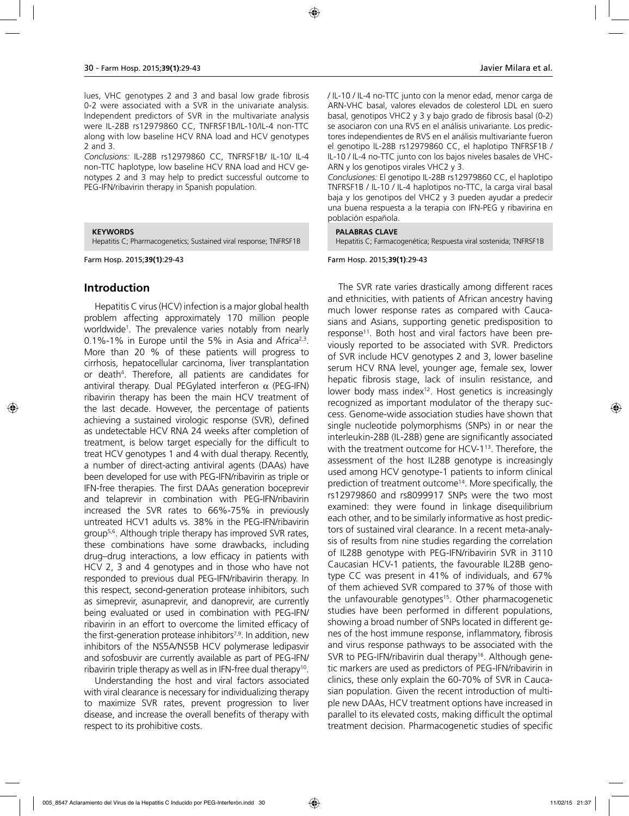lues, VHC genotypes 2 and 3 and basal low grade fibrosis 0-2 were associated with a SVR in the univariate analysis. Independent predictors of SVR in the multivariate analysis were IL-28B rs12979860 CC, TNFRSF1B/IL-10/IL-4 non-TTC along with low baseline HCV RNA load and HCV genotypes 2 and 3.

*Conclusions:* IL-28B rs12979860 CC, TNFRSF1B/ IL-10/ IL-4 non-TTC haplotype, low baseline HCV RNA load and HCV genotypes 2 and 3 may help to predict successful outcome to PEG-IFN/ribavirin therapy in Spanish population.

#### **KEYWORDS**

Hepatitis C; Pharmacogenetics; Sustained viral response; TNFRSF1B

Farm Hosp. 2015;**39(1)**:29-43

## **Introduction**

Hepatitis C virus (HCV) infection is a major global health problem affecting approximately 170 million people worldwide1 . The prevalence varies notably from nearly 0.1%-1% in Europe until the 5% in Asia and Africa<sup>2,3</sup>. More than 20 % of these patients will progress to cirrhosis, hepatocellular carcinoma, liver transplantation or death4 . Therefore, all patients are candidates for antiviral therapy. Dual PEGylated interferon  $\alpha$  (PEG-IFN) ribavirin therapy has been the main HCV treatment of the last decade. However, the percentage of patients achieving a sustained virologic response (SVR), defined as undetectable HCV RNA 24 weeks after completion of treatment, is below target especially for the difficult to treat HCV genotypes 1 and 4 with dual therapy. Recently, a number of direct-acting antiviral agents (DAAs) have been developed for use with PEG-IFN/ribavirin as triple or IFN-free therapies. The first DAAs generation boceprevir and telaprevir in combination with PEG-IFN/ribavirin increased the SVR rates to 66%-75% in previously untreated HCV1 adults vs. 38% in the PEG-IFN/ribavirin group5,6. Although triple therapy has improved SVR rates, these combinations have some drawbacks, including drug–drug interactions, a low efficacy in patients with HCV 2, 3 and 4 genotypes and in those who have not responded to previous dual PEG-IFN/ribavirin therapy. In this respect, second-generation protease inhibitors, such as simeprevir, asunaprevir, and danoprevir, are currently being evaluated or used in combination with PEG-IFN/ ribavirin in an effort to overcome the limited efficacy of the first-generation protease inhibitors<sup>7,9</sup>. In addition, new inhibitors of the NS5A/NS5B HCV polymerase ledipasvir and sofosbuvir are currently available as part of PEG-IFN/ ribavirin triple therapy as well as in IFN-free dual therapy<sup>10</sup>.

Understanding the host and viral factors associated with viral clearance is necessary for individualizing therapy to maximize SVR rates, prevent progression to liver disease, and increase the overall benefits of therapy with respect to its prohibitive costs.

/ IL-10 / IL-4 no-TTC junto con la menor edad, menor carga de ARN-VHC basal, valores elevados de colesterol LDL en suero basal, genotipos VHC2 y 3 y bajo grado de fibrosis basal (0-2) se asociaron con una RVS en el análisis univariante. Los predictores independientes de RVS en el análisis multivariante fueron el genotipo IL-28B rs12979860 CC, el haplotipo TNFRSF1B / IL-10 / IL-4 no-TTC junto con los bajos niveles basales de VHC-ARN y los genotipos virales VHC2 y 3.

*Conclusiones:* El genotipo IL-28B rs12979860 CC, el haplotipo TNFRSF1B / IL-10 / IL-4 haplotipos no-TTC, la carga viral basal baja y los genotipos del VHC2 y 3 pueden ayudar a predecir una buena respuesta a la terapia con IFN-PEG y ribavirina en población española.

#### **PALABRAS CLAVE**

Hepatitis C; Farmacogenética; Respuesta viral sostenida; TNFRSF1B

#### Farm Hosp. 2015;**39(1)**:29-43

The SVR rate varies drastically among different races and ethnicities, with patients of African ancestry having much lower response rates as compared with Caucasians and Asians, supporting genetic predisposition to response<sup>11</sup>. Both host and viral factors have been previously reported to be associated with SVR. Predictors of SVR include HCV genotypes 2 and 3, lower baseline serum HCV RNA level, younger age, female sex, lower hepatic fibrosis stage, lack of insulin resistance, and lower body mass index<sup>12</sup>. Host genetics is increasingly recognized as important modulator of the therapy success. Genome-wide association studies have shown that single nucleotide polymorphisms (SNPs) in or near the interleukin-28B (IL-28B) gene are significantly associated with the treatment outcome for HCV-1<sup>13</sup>. Therefore, the assessment of the host IL28B genotype is increasingly used among HCV genotype-1 patients to inform clinical prediction of treatment outcome<sup>14</sup>. More specifically, the rs12979860 and rs8099917 SNPs were the two most examined: they were found in linkage disequilibrium each other, and to be similarly informative as host predictors of sustained viral clearance. In a recent meta-analysis of results from nine studies regarding the correlation of IL28B genotype with PEG-IFN/ribavirin SVR in 3110 Caucasian HCV-1 patients, the favourable IL28B genotype CC was present in 41% of individuals, and 67% of them achieved SVR compared to 37% of those with the unfavourable genotypes<sup>15</sup>. Other pharmacogenetic studies have been performed in different populations, showing a broad number of SNPs located in different genes of the host immune response, inflammatory, fibrosis and virus response pathways to be associated with the SVR to PEG-IFN/ribavirin dual therapy<sup>16</sup>. Although genetic markers are used as predictors of PEG-IFN/ribavirin in clinics, these only explain the 60-70% of SVR in Caucasian population. Given the recent introduction of multiple new DAAs, HCV treatment options have increased in parallel to its elevated costs, making difficult the optimal treatment decision. Pharmacogenetic studies of specific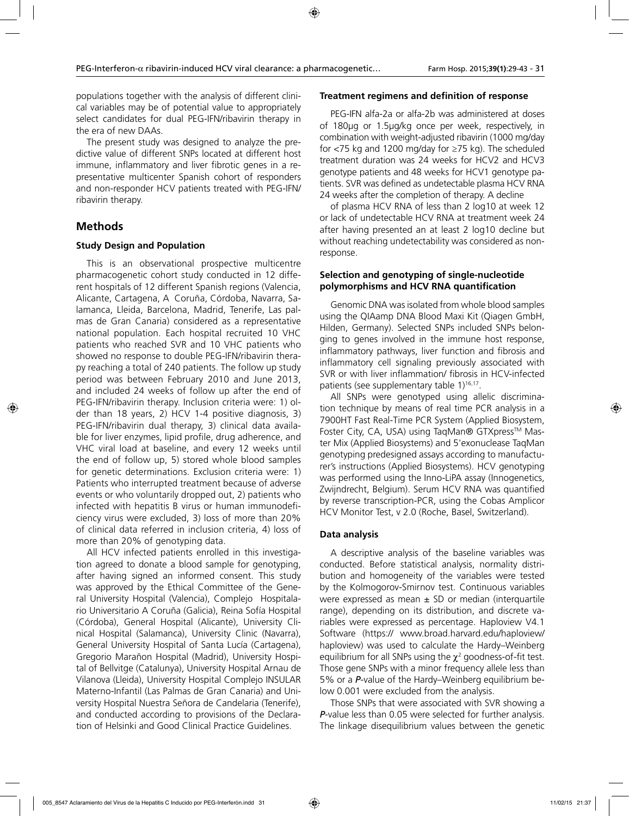populations together with the analysis of different clinical variables may be of potential value to appropriately select candidates for dual PEG-IFN/ribavirin therapy in the era of new DAAs.

The present study was designed to analyze the predictive value of different SNPs located at different host immune, inflammatory and liver fibrotic genes in a representative multicenter Spanish cohort of responders and non-responder HCV patients treated with PEG-IFN/ ribavirin therapy.

## **Methods**

## **Study Design and Population**

This is an observational prospective multicentre pharmacogenetic cohort study conducted in 12 different hospitals of 12 different Spanish regions (Valencia, Alicante, Cartagena, A Coruña, Córdoba, Navarra, Salamanca, Lleida, Barcelona, Madrid, Tenerife, Las palmas de Gran Canaria) considered as a representative national population. Each hospital recruited 10 VHC patients who reached SVR and 10 VHC patients who showed no response to double PEG-IFN/ribavirin therapy reaching a total of 240 patients. The follow up study period was between February 2010 and June 2013, and included 24 weeks of follow up after the end of PEG-IFN/ribavirin therapy. Inclusion criteria were: 1) older than 18 years, 2) HCV 1-4 positive diagnosis, 3) PEG-IFN/ribavirin dual therapy, 3) clinical data available for liver enzymes, lipid profile, drug adherence, and VHC viral load at baseline, and every 12 weeks until the end of follow up, 5) stored whole blood samples for genetic determinations. Exclusion criteria were: 1) Patients who interrupted treatment because of adverse events or who voluntarily dropped out, 2) patients who infected with hepatitis B virus or human immunodeficiency virus were excluded, 3) loss of more than 20% of clinical data referred in inclusion criteria, 4) loss of more than 20% of genotyping data.

All HCV infected patients enrolled in this investigation agreed to donate a blood sample for genotyping, after having signed an informed consent. This study was approved by the Ethical Committee of the General University Hospital (Valencia), Complejo Hospitalario Universitario A Coruña (Galicia), Reina Sofía Hospital (Córdoba), General Hospital (Alicante), University Clinical Hospital (Salamanca), University Clinic (Navarra), General University Hospital of Santa Lucía (Cartagena), Gregorio Marañon Hospital (Madrid), University Hospital of Bellvitge (Catalunya), University Hospital Arnau de Vilanova (Lleida), University Hospital Complejo INSULAR Materno-Infantil (Las Palmas de Gran Canaria) and University Hospital Nuestra Señora de Candelaria (Tenerife), and conducted according to provisions of the Declaration of Helsinki and Good Clinical Practice Guidelines.

#### **Treatment regimens and definition of response**

PEG-IFN alfa-2a or alfa-2b was administered at doses of 180µg or 1.5µg/kg once per week, respectively, in combination with weight-adjusted ribavirin (1000 mg/day for  $\langle$ 75 kg and 1200 mg/day for  $\geq$ 75 kg). The scheduled treatment duration was 24 weeks for HCV2 and HCV3 genotype patients and 48 weeks for HCV1 genotype patients. SVR was defined as undetectable plasma HCV RNA 24 weeks after the completion of therapy. A decline

of plasma HCV RNA of less than 2 log10 at week 12 or lack of undetectable HCV RNA at treatment week 24 after having presented an at least 2 log10 decline but without reaching undetectability was considered as nonresponse.

## **Selection and genotyping of single-nucleotide polymorphisms and HCV RNA quantification**

Genomic DNA was isolated from whole blood samples using the QIAamp DNA Blood Maxi Kit (Qiagen GmbH, Hilden, Germany). Selected SNPs included SNPs belonging to genes involved in the immune host response, inflammatory pathways, liver function and fibrosis and inflammatory cell signaling previously associated with SVR or with liver inflammation/ fibrosis in HCV-infected patients (see supplementary table 1)<sup>16,17</sup>.

All SNPs were genotyped using allelic discrimination technique by means of real time PCR analysis in a 7900HT Fast Real-Time PCR System (Applied Biosystem, Foster City, CA, USA) using TaqMan® GTXpress™ Master Mix (Applied Biosystems) and 5'exonuclease TaqMan genotyping predesigned assays according to manufacturer's instructions (Applied Biosystems). HCV genotyping was performed using the Inno-LiPA assay (Innogenetics, Zwijndrecht, Belgium). Serum HCV RNA was quantified by reverse transcription-PCR, using the Cobas Amplicor HCV Monitor Test, v 2.0 (Roche, Basel, Switzerland).

## **Data analysis**

A descriptive analysis of the baseline variables was conducted. Before statistical analysis, normality distribution and homogeneity of the variables were tested by the Kolmogorov-Smirnov test. Continuous variables were expressed as mean  $\pm$  SD or median (interquartile range), depending on its distribution, and discrete variables were expressed as percentage. Haploview V4.1 Software (https:// www.broad.harvard.edu/haploview/ haploview) was used to calculate the Hardy–Weinberg equilibrium for all SNPs using the  $\chi^2$  goodness-of-fit test. Those gene SNPs with a minor frequency allele less than 5% or a *P*-value of the Hardy–Weinberg equilibrium below 0.001 were excluded from the analysis.

Those SNPs that were associated with SVR showing a *P*-value less than 0.05 were selected for further analysis. The linkage disequilibrium values between the genetic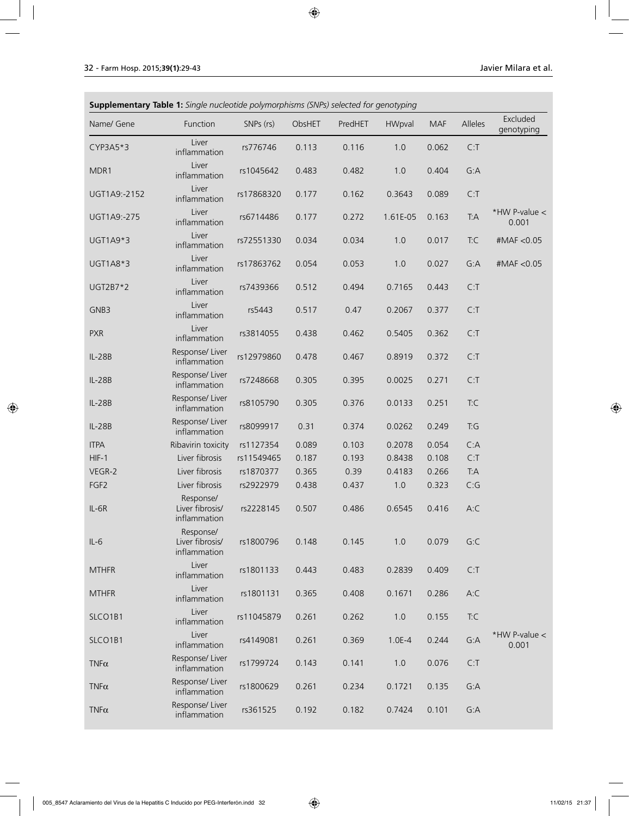| <b>Supplementary Table 1:</b> Single nucleotide polymorphisms (SNPs) selected for genotyping |                                              |            |        |         |          |            |           |                          |
|----------------------------------------------------------------------------------------------|----------------------------------------------|------------|--------|---------|----------|------------|-----------|--------------------------|
| Name/ Gene                                                                                   | Function                                     | SNPs (rs)  | ObsHET | PredHET | HWpval   | <b>MAF</b> | Alleles   | Excluded<br>genotyping   |
| CYP3A5*3                                                                                     | Liver<br>inflammation                        | rs776746   | 0.113  | 0.116   | 1.0      | 0.062      | C: T      |                          |
| MDR1                                                                                         | Liver<br>inflammation                        | rs1045642  | 0.483  | 0.482   | 1.0      | 0.404      | G:A       |                          |
| UGT1A9:-2152                                                                                 | Liver<br>inflammation                        | rs17868320 | 0.177  | 0.162   | 0.3643   | 0.089      | C: T      |                          |
| UGT1A9:-275                                                                                  | Liver<br>inflammation                        | rs6714486  | 0.177  | 0.272   | 1.61E-05 | 0.163      | <b>TA</b> | *HW P-value $<$<br>0.001 |
| UGT1A9*3                                                                                     | Liver<br>inflammation                        | rs72551330 | 0.034  | 0.034   | 1.0      | 0.017      | T:C       | #MAF < 0.05              |
| UGT1A8*3                                                                                     | Liver<br>inflammation                        | rs17863762 | 0.054  | 0.053   | 1.0      | 0.027      | G:A       | #MAF < 0.05              |
| UGT2B7*2                                                                                     | Liver<br>inflammation                        | rs7439366  | 0.512  | 0.494   | 0.7165   | 0.443      | C: T      |                          |
| GNB3                                                                                         | Liver<br>inflammation                        | rs5443     | 0.517  | 0.47    | 0.2067   | 0.377      | C: T      |                          |
| <b>PXR</b>                                                                                   | Liver<br>inflammation                        | rs3814055  | 0.438  | 0.462   | 0.5405   | 0.362      | C: T      |                          |
| <b>IL-28B</b>                                                                                | Response/ Liver<br>inflammation              | rs12979860 | 0.478  | 0.467   | 0.8919   | 0.372      | C: T      |                          |
| IL-28B                                                                                       | Response/ Liver<br>inflammation              | rs7248668  | 0.305  | 0.395   | 0.0025   | 0.271      | C: T      |                          |
| IL-28B                                                                                       | Response/ Liver<br>inflammation              | rs8105790  | 0.305  | 0.376   | 0.0133   | 0.251      | T:C       |                          |
| IL-28B                                                                                       | Response/ Liver<br>inflammation              | rs8099917  | 0.31   | 0.374   | 0.0262   | 0.249      | T:G       |                          |
| <b>ITPA</b>                                                                                  | Ribavirin toxicity                           | rs1127354  | 0.089  | 0.103   | 0.2078   | 0.054      | C:A       |                          |
| $HIF-1$                                                                                      | Liver fibrosis                               | rs11549465 | 0.187  | 0.193   | 0.8438   | 0.108      | C: T      |                          |
| VEGR-2                                                                                       | Liver fibrosis                               | rs1870377  | 0.365  | 0.39    | 0.4183   | 0.266      | T:A       |                          |
| FGF <sub>2</sub>                                                                             | Liver fibrosis                               | rs2922979  | 0.438  | 0.437   | 1.0      | 0.323      | C:G       |                          |
| $IL-6R$                                                                                      | Response/<br>Liver fibrosis/<br>inflammation | rs2228145  | 0.507  | 0.486   | 0.6545   | 0.416      | A:C       |                          |
| $IL-6$                                                                                       | Response/<br>Liver fibrosis/<br>inflammation | rs1800796  | 0.148  | 0.145   | 1.0      | 0.079      | G:C       |                          |
| <b>MTHFR</b>                                                                                 | Liver<br>inflammation                        | rs1801133  | 0.443  | 0.483   | 0.2839   | 0.409      | C: T      |                          |
| <b>MTHFR</b>                                                                                 | Liver<br>inflammation                        | rs1801131  | 0.365  | 0.408   | 0.1671   | 0.286      | A:C       |                          |
| SLCO1B1                                                                                      | Liver<br>inflammation                        | rs11045879 | 0.261  | 0.262   | 1.0      | 0.155      | T:C       |                          |
| SLCO1B1                                                                                      | Liver<br>inflammation                        | rs4149081  | 0.261  | 0.369   | $1.0E-4$ | 0.244      | G:A       | *HW P-value $<$<br>0.001 |
| $TNF\alpha$                                                                                  | Response/ Liver<br>inflammation              | rs1799724  | 0.143  | 0.141   | 1.0      | 0.076      | C: T      |                          |
| $TNF\alpha$                                                                                  | Response/ Liver<br>inflammation              | rs1800629  | 0.261  | 0.234   | 0.1721   | 0.135      | G:A       |                          |
| $TNF\alpha$                                                                                  | Response/ Liver<br>inflammation              | rs361525   | 0.192  | 0.182   | 0.7424   | 0.101      | G:A       |                          |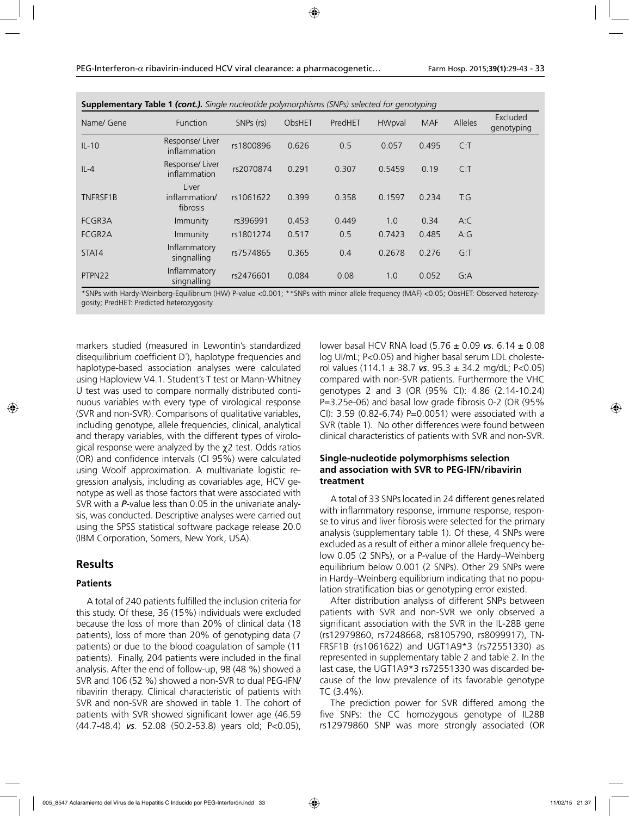| <b>Supplementary Table 1 (cont.).</b> Single nucleotide polymorphisms (SNPs) selected for genotyping |                                    |           |        |         |               |            |         |                        |
|------------------------------------------------------------------------------------------------------|------------------------------------|-----------|--------|---------|---------------|------------|---------|------------------------|
| Name/ Gene                                                                                           | Function                           | SNPs (rs) | ObsHET | PredHET | <b>HWpval</b> | <b>MAF</b> | Alleles | Excluded<br>genotyping |
| $IL-10$                                                                                              | Response/Liver<br>inflammation     | rs1800896 | 0.626  | 0.5     | 0.057         | 0.495      | C: T    |                        |
| $IL-4$                                                                                               | Response/Liver<br>inflammation     | rs2070874 | 0.291  | 0.307   | 0.5459        | 0.19       | C: T    |                        |
| TNFRSF1B                                                                                             | Liver<br>inflammation/<br>fibrosis | rs1061622 | 0.399  | 0.358   | 0.1597        | 0.234      | T:G     |                        |
| FCGR3A                                                                                               | Immunity                           | rs396991  | 0.453  | 0.449   | 1.0           | 0.34       | A:C     |                        |
| FCGR <sub>2</sub> A                                                                                  | Immunity                           | rs1801274 | 0.517  | 0.5     | 0.7423        | 0.485      | A:G     |                        |
| STAT4                                                                                                | Inflammatory<br>singnalling        | rs7574865 | 0.365  | 0.4     | 0.2678        | 0.276      | G: T    |                        |
| PTPN22                                                                                               | Inflammatory<br>singnalling        | rs2476601 | 0.084  | 0.08    | 1.0           | 0.052      | G:A     |                        |

| <b>Supplementary Table 1 (cont.).</b> Single nucleotide polymorphisms (SNPs) selected for genotyping |  |  |  |  |
|------------------------------------------------------------------------------------------------------|--|--|--|--|
|------------------------------------------------------------------------------------------------------|--|--|--|--|

\*SNPs with Hardy-Weinberg-Equilibrium (HW) P-value <0.001; \*\*SNPs with minor allele frequency (MAF) <0.05; ObsHET: Observed heterozygosity; PredHET: Predicted heterozygosity.

markers studied (measured in Lewontin's standardized disequilibrium coefficient D´), haplotype frequencies and haplotype-based association analyses were calculated using Haploview V4.1. Student's T test or Mann-Whitney U test was used to compare normally distributed continuous variables with every type of virological response (SVR and non-SVR). Comparisons of qualitative variables, including genotype, allele frequencies, clinical, analytical and therapy variables, with the different types of virological response were analyzed by the  $\chi$ 2 test. Odds ratios (OR) and confidence intervals (CI 95%) were calculated using Woolf approximation. A multivariate logistic regression analysis, including as covariables age, HCV genotype as well as those factors that were associated with SVR with a *P*-value less than 0.05 in the univariate analysis, was conducted. Descriptive analyses were carried out using the SPSS statistical software package release 20.0 (IBM Corporation, Somers, New York, USA).

## **Results**

### **Patients**

A total of 240 patients fulfilled the inclusion criteria for this study. Of these, 36 (15%) individuals were excluded because the loss of more than 20% of clinical data (18 patients), loss of more than 20% of genotyping data (7 patients) or due to the blood coagulation of sample (11 patients). Finally, 204 patients were included in the final analysis. After the end of follow-up, 98 (48 %) showed a SVR and 106 (52 %) showed a non-SVR to dual PEG-IFN/ ribavirin therapy. Clinical characteristic of patients with SVR and non-SVR are showed in table 1. The cohort of patients with SVR showed significant lower age (46.59 (44.7-48.4) *vs*. 52.08 (50.2-53.8) years old; P<0.05),

lower basal HCV RNA load (5.76 ± 0.09 *vs*. 6.14 ± 0.08 log UI/mL; P<0.05) and higher basal serum LDL cholesterol values (114.1 ± 38.7 *vs*. 95.3 ± 34.2 mg/dL; P<0.05) compared with non-SVR patients. Furthermore the VHC genotypes 2 and 3 (OR (95% CI): 4.86 (2.14-10.24) P=3.25e-06) and basal low grade fibrosis 0-2 (OR (95% CI): 3.59 (0.82-6.74) P=0.0051) were associated with a SVR (table 1). No other differences were found between clinical characteristics of patients with SVR and non-SVR.

## **Single-nucleotide polymorphisms selection and association with SVR to PEG-IFN/ribavirin treatment**

A total of 33 SNPs located in 24 different genes related with inflammatory response, immune response, response to virus and liver fibrosis were selected for the primary analysis (supplementary table 1). Of these, 4 SNPs were excluded as a result of either a minor allele frequency below 0.05 (2 SNPs), or a P-value of the Hardy–Weinberg equilibrium below 0.001 (2 SNPs). Other 29 SNPs were in Hardy–Weinberg equilibrium indicating that no population stratification bias or genotyping error existed.

After distribution analysis of different SNPs between patients with SVR and non-SVR we only observed a significant association with the SVR in the IL-28B gene (rs12979860, rs7248668, rs8105790, rs8099917), TN-FRSF1B (rs1061622) and UGT1A9\*3 (rs72551330) as represented in supplementary table 2 and table 2. In the last case, the UGT1A9\*3 rs72551330 was discarded because of the low prevalence of its favorable genotype TC (3.4%).

The prediction power for SVR differed among the five SNPs: the CC homozygous genotype of IL28B rs12979860 SNP was more strongly associated (OR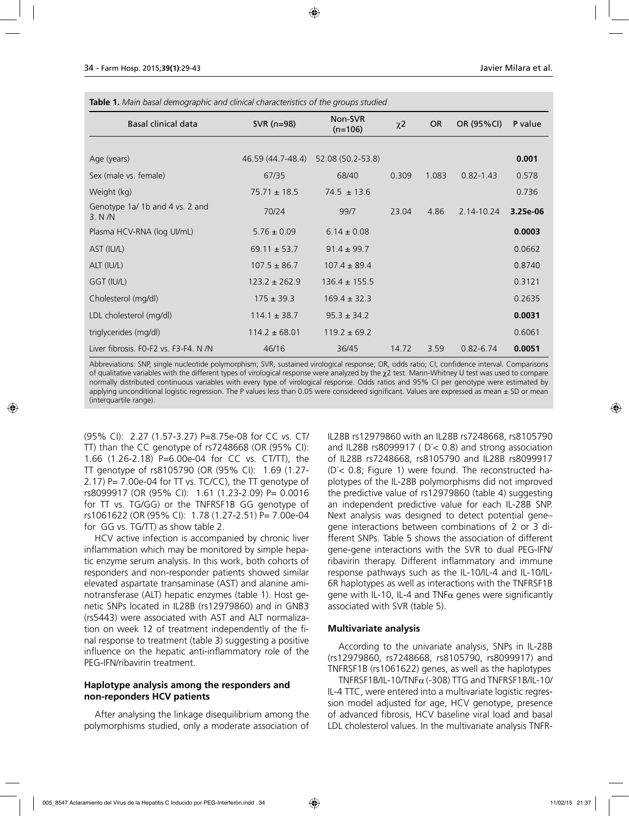| <b>Table 1.</b> Main basal demographic and clinical characteristics of the groups studied |                                      |                   |                     |           |               |          |  |  |
|-------------------------------------------------------------------------------------------|--------------------------------------|-------------------|---------------------|-----------|---------------|----------|--|--|
| <b>Basal clinical data</b>                                                                | Non-SVR<br>SVR $(n=98)$<br>$(n=106)$ |                   | $\chi$ <sub>2</sub> | <b>OR</b> | OR (95%CI)    | P value  |  |  |
|                                                                                           |                                      |                   |                     |           |               |          |  |  |
| Age (years)                                                                               | 46.59 (44.7-48.4)                    | 52.08 (50.2-53.8) |                     |           |               | 0.001    |  |  |
| Sex (male vs. female)                                                                     | 67/35                                | 68/40             | 0.309               | 1.083     | $0.82 - 1.43$ | 0.578    |  |  |
| Weight (kg)                                                                               | $75.71 \pm 18.5$                     | $74.5 \pm 13.6$   |                     |           |               | 0.736    |  |  |
| Genotype 1a/1b and 4 vs. 2 and<br>3. N/N                                                  | 70/24                                | 99/7              | 23.04               | 4.86      | 2.14-10.24    | 3.25e-06 |  |  |
| Plasma HCV-RNA (log UI/mL)                                                                | $5.76 \pm 0.09$                      | $6.14 \pm 0.08$   |                     |           |               | 0.0003   |  |  |
| AST (IU/L)                                                                                | $69.11 \pm 53.7$                     | $91.4 \pm 99.7$   |                     |           |               | 0.0662   |  |  |
| ALT (IU/L)                                                                                | $107.5 \pm 86.7$                     | $107.4 \pm 89.4$  |                     |           |               | 0.8740   |  |  |
| GGT (IU/L)                                                                                | $123.2 \pm 262.9$                    | $136.4 \pm 155.5$ |                     |           |               | 0.3121   |  |  |
| Cholesterol (mg/dl)                                                                       | $175 \pm 39.3$                       | $169.4 \pm 32.3$  |                     |           |               | 0.2635   |  |  |
| LDL cholesterol (mg/dl)                                                                   | $114.1 \pm 38.7$                     | $95.3 \pm 34.2$   |                     |           |               | 0.0031   |  |  |
| triglycerides (mg/dl)                                                                     | $114.2 \pm 68.01$                    | $119.2 \pm 69.2$  |                     |           |               | 0.6061   |  |  |
| Liver fibrosis. F0-F2 vs. F3-F4. N /N                                                     | 46/16                                | 36/45             | 14.72               | 3.59      | $0.82 - 6.74$ | 0.0051   |  |  |

Abbreviations: SNP, single nucleotide polymorphism; SVR, sustained virological response; OR, odds ratio; CI, confidence interval. Comparisons of qualitative variables with the different types of virological response were analyzed by the χ2 test. Mann-Whitney U test was used to compare normally distributed continuous variables with every type of virological response. Odds ratios and 95% CI per genotype were estimated by applying unconditional logistic regression. The P values less than  $0.05$  were considered significant. Values are expressed as mean  $\pm$  SD or mean (interquartile range).

(95% CI): 2.27 (1.57-3.27) P=8.75e-08 for CC vs. CT/ TT) than the CC genotype of rs7248668 (OR (95% CI): 1.66 (1.26-2.18) P=6.00e-04 for CC vs. CT/TT), the TT genotype of rs8105790 (OR (95% CI): 1.69 (1.27- 2.17) P= 7.00e-04 for TT vs. TC/CC), the TT genotype of rs8099917 (OR (95% CI): 1.61 (1.23-2.09) P= 0.0016 for TT vs. TG/GG) or the TNFRSF1B GG genotype of rs1061622 (OR (95% CI): 1.78 (1.27-2.51) P= 7.00e-04 for GG vs. TG/TT) as show table 2.

HCV active infection is accompanied by chronic liver inflammation which may be monitored by simple hepatic enzyme serum analysis. In this work, both cohorts of responders and non-responder patients showed similar elevated aspartate transaminase (AST) and alanine aminotransferase (ALT) hepatic enzymes (table 1). Host genetic SNPs located in IL28B (rs12979860) and in GNB3 (rs5443) were associated with AST and ALT normalization on week 12 of treatment independently of the final response to treatment (table 3) suggesting a positive influence on the hepatic anti-inflammatory role of the PEG-IFN/ribavirin treatment.

## **Haplotype analysis among the responders and non-reponders HCV patients**

After analysing the linkage disequilibrium among the polymorphisms studied, only a moderate association of IL28B rs12979860 with an IL28B rs7248668, rs8105790 and IL28B rs8099917 ( D´< 0.8) and strong association of IL28B rs7248668, rs8105790 and IL28B rs8099917 (D´< 0.8; Figure 1) were found. The reconstructed haplotypes of the IL-28B polymorphisms did not improved the predictive value of rs12979860 (table 4) suggesting an independent predictive value for each IL-28B SNP. Next analysis was designed to detect potential gene– gene interactions between combinations of 2 or 3 different SNPs. Table 5 shows the association of different gene-gene interactions with the SVR to dual PEG-IFN/ ribavirin therapy. Different inflammatory and immune response pathways such as the IL-10/IL-4 and IL-10/IL-6R haplotypes as well as interactions with the TNFRSF1B gene with IL-10, IL-4 and TNF $\alpha$  genes were significantly associated with SVR (table 5).

## **Multivariate analysis**

According to the univariate analysis, SNPs in IL-28B (rs12979860, rs7248668, rs8105790, rs8099917) and TNFRSF1B (rs1061622) genes, as well as the haplotypes

TNFRSF1B/IL-10/TNF $\alpha$  (-308) TTG and TNFRSF1B/IL-10/ IL-4 TTC, were entered into a multivariate logistic regression model adjusted for age, HCV genotype, presence of advanced fibrosis, HCV baseline viral load and basal LDL cholesterol values. In the multivariate analysis TNFR-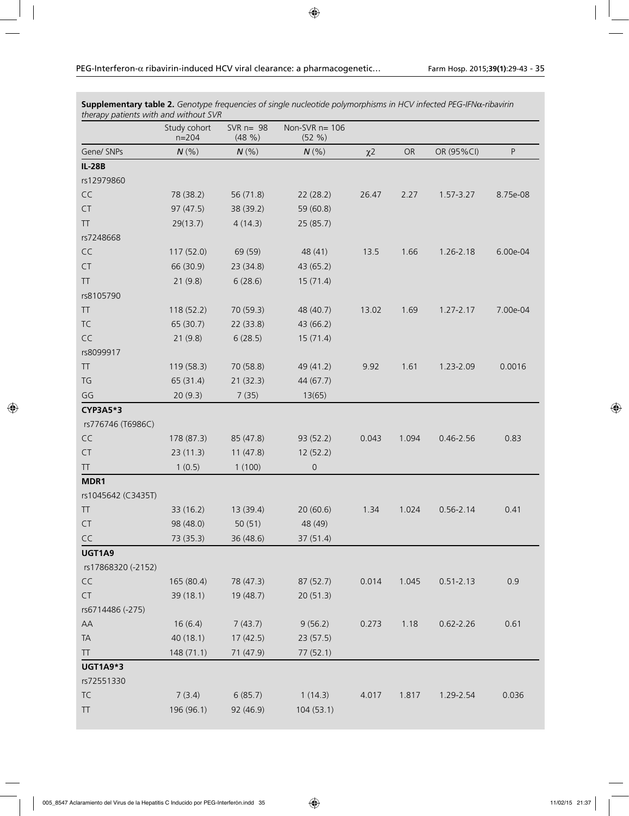*therapy patients with and without SVR* Study cohort n=204 SVR n= 98 (48 %) Non-SVR n= 106 (52 %) Gene/ SNPs *N* (%) *N* (%) *N* (%) χ2 OR OR (95%CI) P **IL-28B** rs12979860 CC 78 (38.2) 56 (71.8) 22 (28.2) 26.47 2.27 1.57-3.27 8.75e-08 CT 97 (47.5) 38 (39.2) 59 (60.8) TT 29(13.7) 4 (14.3) 25 (85.7) rs7248668 CC 117 (52.0) 69 (59) 48 (41) 13.5 1.66 1.26-2.18 6.00e-04 CT 66 (30.9) 23 (34.8) 43 (65.2) TT 21 (9.8) 6 (28.6) 15 (71.4) rs8105790 TT 118 (52.2) 70 (59.3) 48 (40.7) 13.02 1.69 1.27-2.17 7.00e-04 TC 65 (30.7) 22 (33.8) 43 (66.2) CC 21 (9.8) 6 (28.5) 15 (71.4) rs8099917 TT 119 (58.3) 70 (58.8) 49 (41.2) 9.92 1.61 1.23-2.09 0.0016 TG 65 (31.4) 21 (32.3) 44 (67.7) GG 20 (9.3) 7 (35) 13(65) **CYP3A5\*3** rs776746 (T6986C) CC 178 (87.3) 85 (47.8) 93 (52.2) 0.043 1.094 0.46-2.56 0.83 CT 23 (11.3) 11 (47.8) 12 (52.2) TT 1 (0.5) 1 (100) 0 **MDR1**  rs1045642 (C3435T) TT 33 (16.2) 13 (39.4) 20 (60.6) 1.34 1.024 0.56-2.14 0.41 CT 98 (48.0) 50 (51) 48 (49) CC 73 (35.3) 36 (48.6) 37 (51.4) **UGT1A9**  rs17868320 (-2152) CC 165 (80.4) 78 (47.3) 87 (52.7) 0.014 1.045 0.51-2.13 0.9 CT 39 (18.1) 19 (48.7) 20 (51.3) rs6714486 (-275) AA 16 (6.4) 7 (43.7) 9 (56.2) 0.273 1.18 0.62-2.26 0.61 TA 40 (18.1) 17 (42.5) 23 (57.5) TT 148 (71.1) 71 (47.9) 77 (52.1) **UGT1A9\*3**  rs72551330 TC 7 (3.4) 6 (85.7) 1 (14.3) 4.017 1.817 1.29-2.54 0.036 TT 196 (96.1) 92 (46.9) 104 (53.1)

**Supplementary table 2.** *Genotype frequencies of single nucleotide polymorphisms in HCV infected PEG-IFN*α*-ribavirin*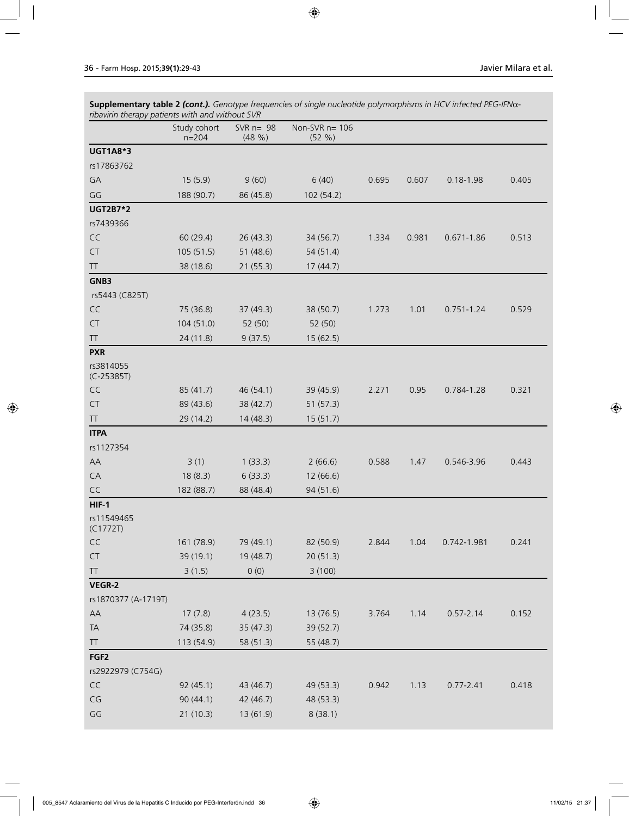| Supplementary table 2 (cont.). Genotype frequencies of single nucleotide polymorphisms in HCV infected PEG-IFNα- |
|------------------------------------------------------------------------------------------------------------------|
| ribavirin therapy patients with and without SVR                                                                  |

|                           | Study cohort<br>$n = 204$ | SVR $n = 98$<br>(48 %) | Non-SVR $n=106$<br>(52 %) |       |       |                |       |
|---------------------------|---------------------------|------------------------|---------------------------|-------|-------|----------------|-------|
| <b>UGT1A8*3</b>           |                           |                        |                           |       |       |                |       |
| rs17863762                |                           |                        |                           |       |       |                |       |
| GA                        | 15(5.9)                   | 9(60)                  | 6(40)                     | 0.695 | 0.607 | $0.18 - 1.98$  | 0.405 |
| GG                        | 188 (90.7)                | 86 (45.8)              | 102 (54.2)                |       |       |                |       |
| <b>UGT2B7*2</b>           |                           |                        |                           |       |       |                |       |
| rs7439366                 |                           |                        |                           |       |       |                |       |
| CC                        | 60 (29.4)                 | 26(43.3)               | 34 (56.7)                 | 1.334 | 0.981 | $0.671 - 1.86$ | 0.513 |
| ${\sf CT}$                | 105(51.5)                 | 51 (48.6)              | 54 (51.4)                 |       |       |                |       |
| TT                        | 38 (18.6)                 | 21(55.3)               | 17(44.7)                  |       |       |                |       |
| GNB3                      |                           |                        |                           |       |       |                |       |
| rs5443 (C825T)            |                           |                        |                           |       |       |                |       |
| CC                        | 75 (36.8)                 | 37(49.3)               | 38 (50.7)                 | 1.273 | 1.01  | $0.751 - 1.24$ | 0.529 |
| <b>CT</b>                 | 104(51.0)                 | 52 (50)                | 52 (50)                   |       |       |                |       |
| $\top\top$                | 24 (11.8)                 | 9(37.5)                | 15(62.5)                  |       |       |                |       |
| <b>PXR</b>                |                           |                        |                           |       |       |                |       |
| rs3814055<br>$(C-25385T)$ |                           |                        |                           |       |       |                |       |
| CC                        | 85 (41.7)                 | 46 (54.1)              | 39 (45.9)                 | 2.271 | 0.95  | 0.784-1.28     | 0.321 |
| CT                        | 89 (43.6)                 | 38 (42.7)              | 51 (57.3)                 |       |       |                |       |
| TT                        | 29 (14.2)                 | 14(48.3)               | 15(51.7)                  |       |       |                |       |
| <b>ITPA</b>               |                           |                        |                           |       |       |                |       |
| rs1127354                 |                           |                        |                           |       |       |                |       |
| AA                        | 3(1)                      | 1(33.3)                | 2(66.6)                   | 0.588 | 1.47  | 0.546-3.96     | 0.443 |
| CA                        | 18(8.3)                   | 6(33.3)                | 12 (66.6)                 |       |       |                |       |
| CC                        | 182 (88.7)                | 88 (48.4)              | 94 (51.6)                 |       |       |                |       |
| $HIF-1$                   |                           |                        |                           |       |       |                |       |
| rs11549465<br>(C1772T)    |                           |                        |                           |       |       |                |       |
| CC                        | 161 (78.9)                | 79 (49.1)              | 82 (50.9)                 | 2.844 | 1.04  | 0.742-1.981    | 0.241 |
| <b>CT</b>                 | 39 (19.1)                 | 19 (48.7)              | 20 (51.3)                 |       |       |                |       |
| TT                        | 3(1.5)                    | 0(0)                   | 3(100)                    |       |       |                |       |
| VEGR-2                    |                           |                        |                           |       |       |                |       |
| rs1870377 (A-1719T)       |                           |                        |                           |       |       |                |       |
| AA                        | 17(7.8)                   | 4(23.5)                | 13 (76.5)                 | 3.764 | 1.14  | $0.57 - 2.14$  | 0.152 |
| TA                        | 74 (35.8)                 | 35 (47.3)              | 39 (52.7)                 |       |       |                |       |
| <b>TT</b>                 | 113 (54.9)                | 58 (51.3)              | 55 (48.7)                 |       |       |                |       |
| FGF <sub>2</sub>          |                           |                        |                           |       |       |                |       |
| rs2922979 (C754G)         |                           |                        |                           |       |       |                |       |
| CC                        | 92(45.1)                  | 43 (46.7)              | 49 (53.3)                 | 0.942 | 1.13  | $0.77 - 2.41$  | 0.418 |
| $\mathsf{CG}\xspace$      | 90(44.1)                  | 42 (46.7)              | 48 (53.3)                 |       |       |                |       |
| $\mathsf{G}\mathsf{G}$    | 21(10.3)                  | 13 (61.9)              | 8(38.1)                   |       |       |                |       |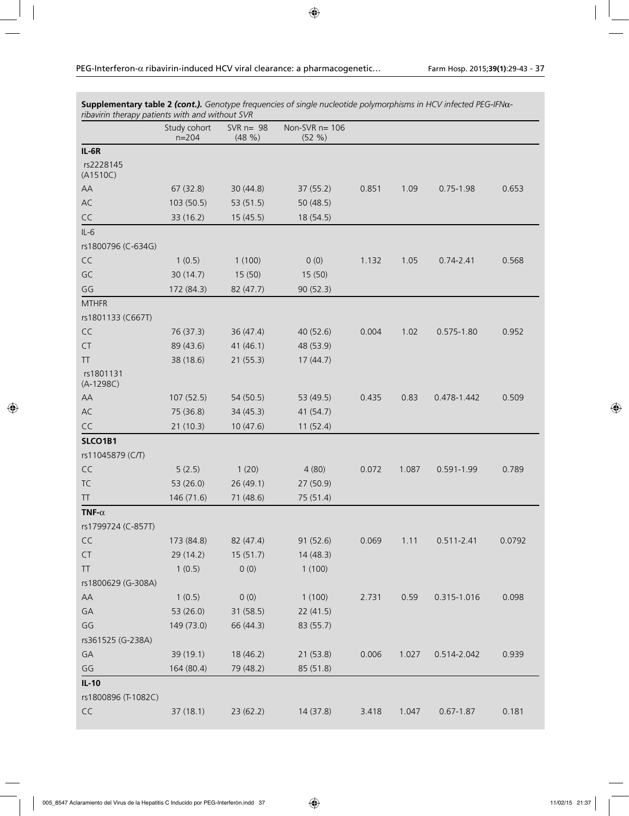| ribavirin therapy patients with and without SVR  |                           |                      |                           |       |       |                |        |
|--------------------------------------------------|---------------------------|----------------------|---------------------------|-------|-------|----------------|--------|
|                                                  | Study cohort<br>$n = 204$ | SVR $n=98$<br>(48 %) | Non-SVR $n=106$<br>(52 %) |       |       |                |        |
| $IL-6R$                                          |                           |                      |                           |       |       |                |        |
| rs2228145<br>(A1510C)                            |                           |                      |                           |       |       |                |        |
| AA                                               | 67(32.8)                  | 30(44.8)             | 37(55.2)                  | 0.851 | 1.09  | $0.75 - 1.98$  | 0.653  |
| AC                                               | 103 (50.5)                | 53 (51.5)            | 50(48.5)                  |       |       |                |        |
| CC                                               | 33(16.2)                  | 15(45.5)             | 18 (54.5)                 |       |       |                |        |
| $IL-6$                                           |                           |                      |                           |       |       |                |        |
| rs1800796 (C-634G)                               |                           |                      |                           |       |       |                |        |
| CC                                               | 1(0.5)                    | 1(100)               | 0(0)                      | 1.132 | 1.05  | $0.74 - 2.41$  | 0.568  |
| GC                                               | 30(14.7)                  | 15(50)               | 15(50)                    |       |       |                |        |
| GG                                               | 172 (84.3)                | 82 (47.7)            | 90(52.3)                  |       |       |                |        |
| <b>MTHFR</b>                                     |                           |                      |                           |       |       |                |        |
| rs1801133 (C667T)                                |                           |                      |                           |       |       |                |        |
| CC                                               | 76 (37.3)                 | 36(47.4)             | 40 (52.6)                 | 0.004 | 1.02  | $0.575 - 1.80$ | 0.952  |
| CT                                               | 89 (43.6)                 | 41 (46.1)            | 48 (53.9)                 |       |       |                |        |
| <b>TT</b>                                        | 38 (18.6)                 | 21(55.3)             | 17(44.7)                  |       |       |                |        |
| rs1801131<br>$(A-1298C)$                         |                           |                      |                           |       |       |                |        |
| AA                                               | 107 (52.5)                | 54 (50.5)            | 53 (49.5)                 | 0.435 | 0.83  | 0.478-1.442    | 0.509  |
| AC                                               | 75 (36.8)                 | 34(45.3)             | 41 (54.7)                 |       |       |                |        |
| CC                                               | 21(10.3)                  | 10(47.6)             | 11(52.4)                  |       |       |                |        |
| SLCO1B1                                          |                           |                      |                           |       |       |                |        |
| rs11045879 (C/T)                                 |                           |                      |                           |       |       |                |        |
| CC                                               | 5(2.5)                    | 1(20)                | 4(80)                     | 0.072 | 1.087 | $0.591 - 1.99$ | 0.789  |
| TC                                               | 53 (26.0)                 | 26(49.1)             | 27 (50.9)                 |       |       |                |        |
| $\ensuremath{\mathsf{T}}\ensuremath{\mathsf{T}}$ | 146 (71.6)                | 71 (48.6)            | 75 (51.4)                 |       |       |                |        |
| TNF- $\alpha$                                    |                           |                      |                           |       |       |                |        |
| rs1799724 (C-857T)                               |                           |                      |                           |       |       |                |        |
| CC                                               | 173 (84.8)                | 82 (47.4)            | 91 (52.6)                 | 0.069 | 1.11  | $0.511 - 2.41$ | 0.0792 |
| CT                                               | 29 (14.2)                 | 15(51.7)             | 14(48.3)                  |       |       |                |        |
| <b>TT</b>                                        | 1(0.5)                    | 0(0)                 | 1(100)                    |       |       |                |        |
| rs1800629 (G-308A)                               |                           |                      |                           |       |       |                |        |
| AA                                               | 1(0.5)                    | 0(0)                 | 1(100)                    | 2.731 | 0.59  | 0.315-1.016    | 0.098  |
| GA                                               | 53 (26.0)                 | 31 (58.5)            | 22(41.5)                  |       |       |                |        |
| GG                                               | 149 (73.0)                | 66 (44.3)            | 83 (55.7)                 |       |       |                |        |
| rs361525 (G-238A)                                |                           |                      |                           |       |       |                |        |
| GA                                               | 39 (19.1)                 | 18 (46.2)            | 21(53.8)                  | 0.006 | 1.027 | 0.514-2.042    | 0.939  |
| GG                                               | 164 (80.4)                | 79 (48.2)            | 85 (51.8)                 |       |       |                |        |
| $IL-10$                                          |                           |                      |                           |       |       |                |        |
| rs1800896 (T-1082C)                              |                           |                      |                           |       |       |                |        |
| $\mathsf{CC}$                                    | 37(18.1)                  | 23 (62.2)            | 14 (37.8)                 | 3.418 | 1.047 | $0.67 - 1.87$  | 0.181  |

**Supplementary table 2** *(cont.). Genotype frequencies of single nucleotide polymorphisms in HCV infected PEG-IFN*α*-*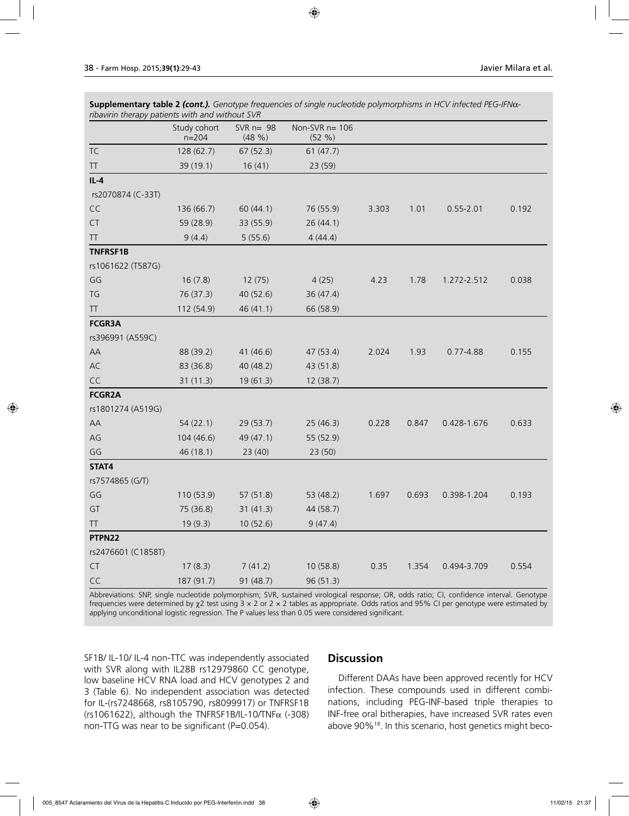**Supplementary table 2** *(cont.). Genotype frequencies of single nucleotide polymorphisms in HCV infected PEG-IFN*α*ribavirin therapy patients with and without SVR*

|                                                  | Study cohort<br>$n = 204$ | SVR $n=98$<br>(48 %) | Non-SVR n= 106<br>(52 %) |       |       |               |       |
|--------------------------------------------------|---------------------------|----------------------|--------------------------|-------|-------|---------------|-------|
| TC                                               | 128 (62.7)                | 67(52.3)             | 61(47.7)                 |       |       |               |       |
| TT                                               | 39 (19.1)                 | 16(41)               | 23 (59)                  |       |       |               |       |
| $IL-4$                                           |                           |                      |                          |       |       |               |       |
| rs2070874 (C-33T)                                |                           |                      |                          |       |       |               |       |
| CC                                               | 136 (66.7)                | 60(44.1)             | 76 (55.9)                | 3.303 | 1.01  | $0.55 - 2.01$ | 0.192 |
| CT                                               | 59 (28.9)                 | 33 (55.9)            | 26(44.1)                 |       |       |               |       |
| $\ensuremath{\mathsf{T}}\ensuremath{\mathsf{T}}$ | 9(4.4)                    | 5(55.6)              | 4(44.4)                  |       |       |               |       |
| TNFRSF1B                                         |                           |                      |                          |       |       |               |       |
| rs1061622 (T587G)                                |                           |                      |                          |       |       |               |       |
| GG                                               | 16(7.8)                   | 12(75)               | 4(25)                    | 4.23  | 1.78  | 1.272-2.512   | 0.038 |
| TG                                               | 76 (37.3)                 | 40 (52.6)            | 36(47.4)                 |       |       |               |       |
| <b>TT</b>                                        | 112 (54.9)                | 46 (41.1)            | 66 (58.9)                |       |       |               |       |
| <b>FCGR3A</b>                                    |                           |                      |                          |       |       |               |       |
| rs396991 (A559C)                                 |                           |                      |                          |       |       |               |       |
| AA                                               | 88 (39.2)                 | 41 (46.6)            | 47 (53.4)                | 2.024 | 1.93  | $0.77 - 4.88$ | 0.155 |
| AC                                               | 83 (36.8)                 | 40 (48.2)            | 43 (51.8)                |       |       |               |       |
| CC                                               | 31(11.3)                  | 19(61.3)             | 12 (38.7)                |       |       |               |       |
| <b>FCGR2A</b>                                    |                           |                      |                          |       |       |               |       |
| rs1801274 (A519G)                                |                           |                      |                          |       |       |               |       |
| AA                                               | 54(22.1)                  | 29(53.7)             | 25(46.3)                 | 0.228 | 0.847 | 0.428-1.676   | 0.633 |
| $AG$                                             | 104 (46.6)                | 49 (47.1)            | 55 (52.9)                |       |       |               |       |
| GG                                               | 46 (18.1)                 | 23(40)               | 23(50)                   |       |       |               |       |
| STAT4                                            |                           |                      |                          |       |       |               |       |
| rs7574865 (G/T)                                  |                           |                      |                          |       |       |               |       |
| GG                                               | 110 (53.9)                | 57(51.8)             | 53 (48.2)                | 1.697 | 0.693 | 0.398-1.204   | 0.193 |
| GT                                               | 75 (36.8)                 | 31(41.3)             | 44 (58.7)                |       |       |               |       |
| TT.                                              | 19(9.3)                   | 10(52.6)             | 9(47.4)                  |       |       |               |       |
| PTPN22                                           |                           |                      |                          |       |       |               |       |
| rs2476601 (C1858T)                               |                           |                      |                          |       |       |               |       |
| CT                                               | 17(8.3)                   | 7(41.2)              | 10 (58.8)                | 0.35  | 1.354 | 0.494-3.709   | 0.554 |
| CC                                               | 187 (91.7)                | 91 (48.7)            | 96 (51.3)                |       |       |               |       |

Abbreviations: SNP, single nucleotide polymorphism; SVR, sustained virological response; OR, odds ratio; CI, confidence interval. Genotype frequencies were determined by  $\chi$ 2 test using  $3 \times 2$  or  $2 \times 2$  tables as appropriate. Odds ratios and 95% CI per genotype were estimated by applying unconditional logistic regression. The P values less than 0.05 were considered significant.

SF1B/ IL-10/ IL-4 non-TTC was independently associated with SVR along with IL28B rs12979860 CC genotype, low baseline HCV RNA load and HCV genotypes 2 and 3 (Table 6). No independent association was detected for IL-(rs7248668, rs8105790, rs8099917) or TNFRSF1B (rs1061622), although the TNFRSF1B/IL-10/TNF $\alpha$  (-308) non-TTG was near to be significant (P=0.054).

## **Discussion**

Different DAAs have been approved recently for HCV infection. These compounds used in different combinations, including PEG-INF-based triple therapies to INF-free oral bitherapies, have increased SVR rates even above 90%18. In this scenario, host genetics might beco-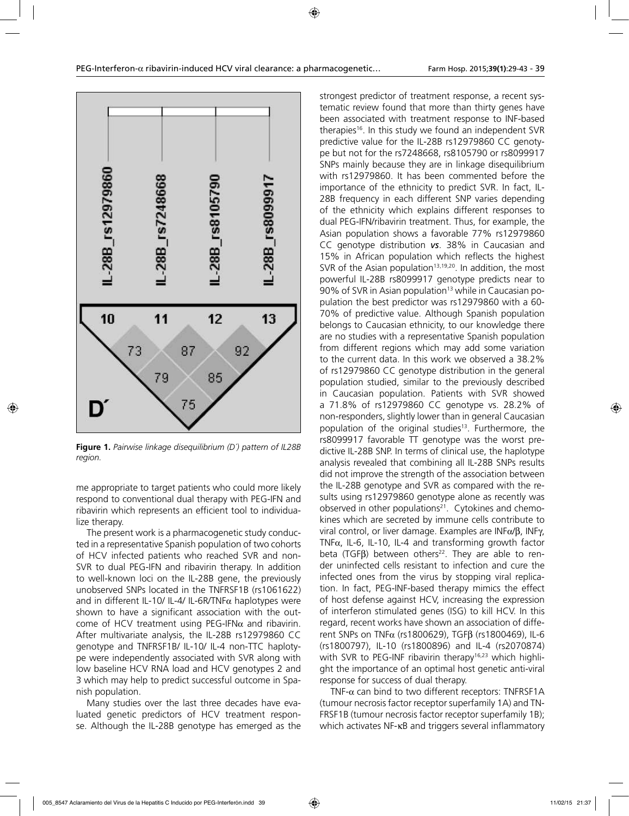

**Figure 1.** *Pairwise linkage disequilibrium (D´) pattern of IL28B region.*

me appropriate to target patients who could more likely respond to conventional dual therapy with PEG-IFN and ribavirin which represents an efficient tool to individualize therapy.

The present work is a pharmacogenetic study conducted in a representative Spanish population of two cohorts of HCV infected patients who reached SVR and non-SVR to dual PEG-IFN and ribavirin therapy. In addition to well-known loci on the IL-28B gene, the previously unobserved SNPs located in the TNFRSF1B (rs1061622) and in different IL-10/ IL-4/ IL-6R/TNF $\alpha$  haplotypes were shown to have a significant association with the outcome of HCV treatment using PEG-IFN $\alpha$  and ribavirin. After multivariate analysis, the IL-28B rs12979860 CC genotype and TNFRSF1B/ IL-10/ IL-4 non-TTC haplotype were independently associated with SVR along with low baseline HCV RNA load and HCV genotypes 2 and 3 which may help to predict successful outcome in Spanish population.

Many studies over the last three decades have evaluated genetic predictors of HCV treatment response. Although the IL-28B genotype has emerged as the

strongest predictor of treatment response, a recent systematic review found that more than thirty genes have been associated with treatment response to INF-based therapies16. In this study we found an independent SVR predictive value for the IL-28B rs12979860 CC genotype but not for the rs7248668, rs8105790 or rs8099917 SNPs mainly because they are in linkage disequilibrium with rs12979860. It has been commented before the importance of the ethnicity to predict SVR. In fact, IL-28B frequency in each different SNP varies depending of the ethnicity which explains different responses to dual PEG-IFN/ribavirin treatment. Thus, for example, the Asian population shows a favorable 77% rs12979860 CC genotype distribution *vs*. 38% in Caucasian and 15% in African population which reflects the highest SVR of the Asian population<sup>13,19,20</sup>. In addition, the most powerful IL-28B rs8099917 genotype predicts near to 90% of SVR in Asian population<sup>13</sup> while in Caucasian population the best predictor was rs12979860 with a 60- 70% of predictive value. Although Spanish population belongs to Caucasian ethnicity, to our knowledge there are no studies with a representative Spanish population from different regions which may add some variation to the current data. In this work we observed a 38.2% of rs12979860 CC genotype distribution in the general population studied, similar to the previously described in Caucasian population. Patients with SVR showed a 71.8% of rs12979860 CC genotype vs. 28.2% of non-responders, slightly lower than in general Caucasian population of the original studies<sup>13</sup>. Furthermore, the rs8099917 favorable TT genotype was the worst predictive IL-28B SNP. In terms of clinical use, the haplotype analysis revealed that combining all IL-28B SNPs results did not improve the strength of the association between the IL-28B genotype and SVR as compared with the results using rs12979860 genotype alone as recently was observed in other populations<sup>21</sup>. Cytokines and chemokines which are secreted by immune cells contribute to viral control, or liver damage. Examples are INFα/β, INFγ, TNFα, IL-6, IL-10, IL-4 and transforming growth factor beta (TGF $\beta$ ) between others<sup>22</sup>. They are able to render uninfected cells resistant to infection and cure the infected ones from the virus by stopping viral replication. In fact, PEG-INF-based therapy mimics the effect of host defense against HCV, increasing the expression of interferon stimulated genes (ISG) to kill HCV. In this regard, recent works have shown an association of different SNPs on TNFα (rs1800629), TGFβ (rs1800469), IL-6 (rs1800797), IL-10 (rs1800896) and IL-4 (rs2070874) with SVR to PEG-INF ribavirin therapy<sup>16,23</sup> which highlight the importance of an optimal host genetic anti-viral response for success of dual therapy.

TNF-α can bind to two different receptors: TNFRSF1A (tumour necrosis factor receptor superfamily 1A) and TN-FRSF1B (tumour necrosis factor receptor superfamily 1B); which activates NF-κB and triggers several inflammatory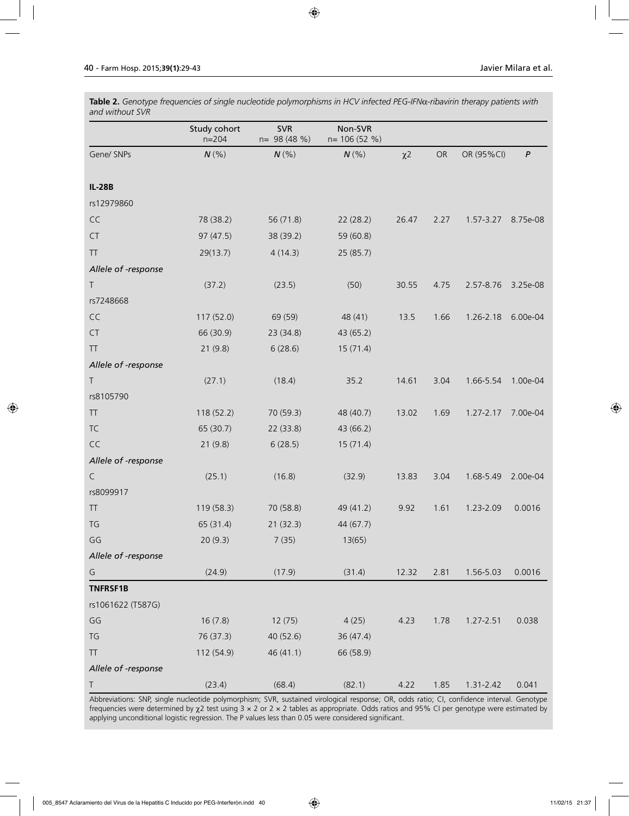**Table 2.** *Genotype frequencies of single nucleotide polymorphisms in HCV infected PEG-IFN*α*-ribavirin therapy patients with and without SVR*

|                                                  | Study cohort<br>$n = 204$ | <b>SVR</b><br>n= 98 (48 %) | Non-SVR<br>n= 106 (52 %) |          |      |               |                  |
|--------------------------------------------------|---------------------------|----------------------------|--------------------------|----------|------|---------------|------------------|
| Gene/ SNPs                                       | $N$ (%)                   | $N$ (%)                    | $N$ (%)                  | $\chi$ 2 | OR   | OR (95%CI)    | $\boldsymbol{P}$ |
| <b>IL-28B</b>                                    |                           |                            |                          |          |      |               |                  |
| rs12979860                                       |                           |                            |                          |          |      |               |                  |
| CC                                               | 78 (38.2)                 | 56 (71.8)                  | 22 (28.2)                | 26.47    | 2.27 | 1.57-3.27     | 8.75e-08         |
| CT                                               | 97 (47.5)                 | 38 (39.2)                  | 59 (60.8)                |          |      |               |                  |
| TT                                               | 29(13.7)                  | 4(14.3)                    | 25(85.7)                 |          |      |               |                  |
| Allele of -response                              |                           |                            |                          |          |      |               |                  |
| Τ                                                | (37.2)                    | (23.5)                     | (50)                     | 30.55    | 4.75 | 2.57-8.76     | 3.25e-08         |
| rs7248668                                        |                           |                            |                          |          |      |               |                  |
| CC                                               | 117 (52.0)                | 69 (59)                    | 48 (41)                  | 13.5     | 1.66 | 1.26-2.18     | 6.00e-04         |
| <b>CT</b>                                        | 66 (30.9)                 | 23 (34.8)                  | 43 (65.2)                |          |      |               |                  |
| <b>TT</b>                                        | 21(9.8)                   | 6(28.6)                    | 15(71.4)                 |          |      |               |                  |
| Allele of -response                              |                           |                            |                          |          |      |               |                  |
| $\top$                                           | (27.1)                    | (18.4)                     | 35.2                     | 14.61    | 3.04 | 1.66-5.54     | 1.00e-04         |
| rs8105790                                        |                           |                            |                          |          |      |               |                  |
| <b>TT</b>                                        | 118 (52.2)                | 70 (59.3)                  | 48 (40.7)                | 13.02    | 1.69 | $1.27 - 2.17$ | 7.00e-04         |
| <b>TC</b>                                        | 65 (30.7)                 | 22 (33.8)                  | 43 (66.2)                |          |      |               |                  |
| CC                                               | 21(9.8)                   | 6(28.5)                    | 15(71.4)                 |          |      |               |                  |
| Allele of -response                              |                           |                            |                          |          |      |               |                  |
| C                                                | (25.1)                    | (16.8)                     | (32.9)                   | 13.83    | 3.04 | 1.68-5.49     | 2.00e-04         |
| rs8099917                                        |                           |                            |                          |          |      |               |                  |
| <b>TT</b>                                        | 119 (58.3)                | 70 (58.8)                  | 49 (41.2)                | 9.92     | 1.61 | 1.23-2.09     | 0.0016           |
| TG                                               | 65 (31.4)                 | 21(32.3)                   | 44 (67.7)                |          |      |               |                  |
| GG                                               | 20(9.3)                   | 7(35)                      | 13(65)                   |          |      |               |                  |
| Allele of -response                              |                           |                            |                          |          |      |               |                  |
| G                                                | (24.9)                    | (17.9)                     | (31.4)                   | 12.32    | 2.81 | 1.56-5.03     | 0.0016           |
| <b>TNFRSF1B</b>                                  |                           |                            |                          |          |      |               |                  |
| rs1061622 (T587G)                                |                           |                            |                          |          |      |               |                  |
| GG                                               | 16(7.8)                   | 12(75)                     | 4(25)                    | 4.23     | 1.78 | 1.27-2.51     | 0.038            |
| TG                                               | 76 (37.3)                 | 40 (52.6)                  | 36 (47.4)                |          |      |               |                  |
| $\ensuremath{\mathsf{T}}\ensuremath{\mathsf{T}}$ | 112 (54.9)                | 46 (41.1)                  | 66 (58.9)                |          |      |               |                  |
| Allele of -response                              |                           |                            |                          |          |      |               |                  |
| T                                                | (23.4)                    | (68.4)                     | (82.1)                   | 4.22     | 1.85 | $1.31 - 2.42$ | 0.041            |

Abbreviations: SNP, single nucleotide polymorphism; SVR, sustained virological response; OR, odds ratio; CI, confidence interval. Genotype frequencies were determined by χ2 test using 3 × 2 or 2 × 2 tables as appropriate. Odds ratios and 95% CI per genotype were estimated by applying unconditional logistic regression. The P values less than 0.05 were considered significant.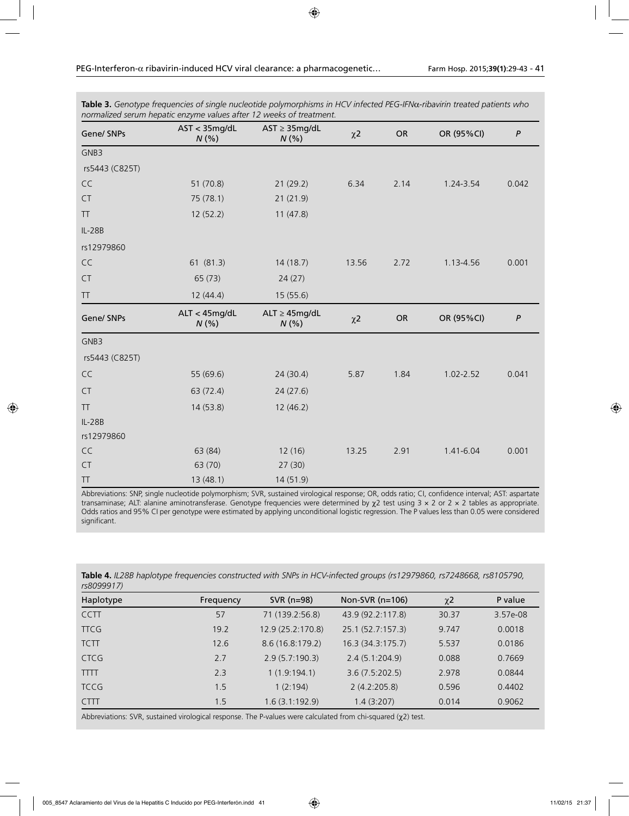| Gene/ SNPs     | patic charge values arter in weeks of the different.<br>AST < 35mg/dL<br>N(% | $AST \geq 35mg/dL$<br>N(%   | $\chi$ <sub>2</sub> | OR   | OR (95%CI)    | $\boldsymbol{P}$ |
|----------------|------------------------------------------------------------------------------|-----------------------------|---------------------|------|---------------|------------------|
| GNB3           |                                                                              |                             |                     |      |               |                  |
| rs5443 (C825T) |                                                                              |                             |                     |      |               |                  |
| CC             | 51(70.8)                                                                     | 21(29.2)                    | 6.34                | 2.14 | 1.24-3.54     | 0.042            |
| CT             | 75 (78.1)                                                                    | 21 (21.9)                   |                     |      |               |                  |
| <b>TT</b>      | 12(52.2)                                                                     | 11(47.8)                    |                     |      |               |                  |
| $IL-28B$       |                                                                              |                             |                     |      |               |                  |
| rs12979860     |                                                                              |                             |                     |      |               |                  |
| $\mathsf{CC}$  | 61 (81.3)                                                                    | 14(18.7)                    | 13.56               | 2.72 | 1.13-4.56     | 0.001            |
| <b>CT</b>      | 65(73)                                                                       | 24(27)                      |                     |      |               |                  |
| <b>TT</b>      | 12(44.4)                                                                     | 15 (55.6)                   |                     |      |               |                  |
| Gene/ SNPs     | ALT < 45mg/dL<br>N(% )                                                       | $ALT \geq 45mg/dL$<br>N(% ) | $\chi$ 2            | OR   | OR (95%CI)    | $\boldsymbol{P}$ |
| GNB3           |                                                                              |                             |                     |      |               |                  |
| rs5443 (C825T) |                                                                              |                             |                     |      |               |                  |
| CC             | 55 (69.6)                                                                    | 24(30.4)                    | 5.87                | 1.84 | $1.02 - 2.52$ | 0.041            |
| CT             | 63 (72.4)                                                                    | 24(27.6)                    |                     |      |               |                  |
| <b>TT</b>      | 14 (53.8)                                                                    | 12(46.2)                    |                     |      |               |                  |
| $IL-28B$       |                                                                              |                             |                     |      |               |                  |
| rs12979860     |                                                                              |                             |                     |      |               |                  |
| $\mathsf{CC}$  | 63 (84)                                                                      | 12(16)                      | 13.25               | 2.91 | 1.41-6.04     | 0.001            |
| CT             | 63 (70)                                                                      | 27(30)                      |                     |      |               |                  |
| TT             | 13(48.1)                                                                     | 14 (51.9)                   |                     |      |               |                  |

**Table 3.** *Genotype frequencies of single nucleotide polymorphisms in HCV infected PEG-IFN*α*-ribavirin treated patients who normalized serum hepatic enzyme values after 12 weeks of treatment.*

Abbreviations: SNP, single nucleotide polymorphism; SVR, sustained virological response; OR, odds ratio; CI, confidence interval; AST: aspartate transaminase; ALT: alanine aminotransferase. Genotype frequencies were determined by  $\chi$ 2 test using  $3 \times 2$  or  $2 \times 2$  tables as appropriate. Odds ratios and 95% CI per genotype were estimated by applying unconditional logistic regression. The P values less than 0.05 were considered significant.

| Table 4. IL28B haplotype frequencies constructed with SNPs in HCV-infected groups (rs12979860, rs7248668, rs8105790, |  |
|----------------------------------------------------------------------------------------------------------------------|--|
| rs8099917)                                                                                                           |  |

| ,,,,,,,,,,  |           |                   |                   |                     |          |
|-------------|-----------|-------------------|-------------------|---------------------|----------|
| Haplotype   | Frequency | SVR (n=98)        | Non-SVR $(n=106)$ | $\chi$ <sup>2</sup> | P value  |
| <b>CCTT</b> | 57        | 71 (139.2:56.8)   | 43.9 (92.2:117.8) | 30.37               | 3.57e-08 |
| <b>TTCG</b> | 19.2      | 12.9 (25.2:170.8) | 25.1 (52.7:157.3) | 9.747               | 0.0018   |
| <b>TCTT</b> | 12.6      | 8.6(16.8.179.2)   | 16.3 (34.3:175.7) | 5.537               | 0.0186   |
| <b>CTCG</b> | 2.7       | 2.9(5.7:190.3)    | 2.4(5.1:204.9)    | 0.088               | 0.7669   |
| <b>TTTT</b> | 2.3       | 1(1.9:194.1)      | 3.6(7.5:202.5)    | 2.978               | 0.0844   |
| <b>TCCG</b> | 1.5       | 1(2:194)          | 2(4.2:205.8)      | 0.596               | 0.4402   |
| <b>CTTT</b> | 1.5       | 1.6(3.1:192.9)    | 1.4(3:207)        | 0.014               | 0.9062   |
|             |           |                   |                   |                     |          |

Abbreviations: SVR, sustained virological response. The P-values were calculated from chi-squared (χ2) test.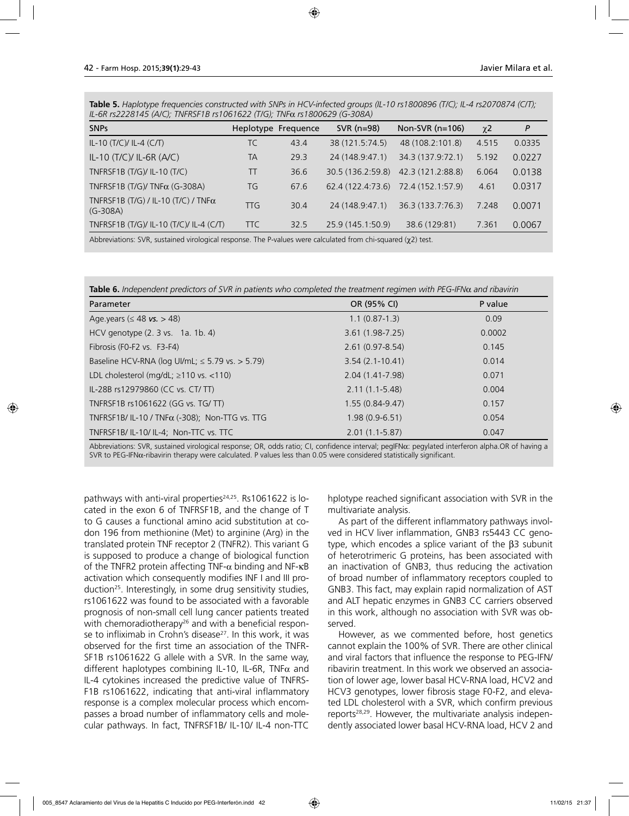**Table 5.** *Haplotype frequencies constructed with SNPs in HCV-infected groups (IL-10 rs1800896 (T/C); IL-4 rs2070874 (C/T); IL-6R rs2228145 (A/C); TNFRSF1B rs1061622 (T/G); TNF*α *rs1800629 (G-308A)*

| <b>SNPs</b>                                               |            | Heplotype Frequence | $SVR$ ( $n=98$ )  | Non-SVR $(n=106)$ | $\chi$ <sup>2</sup> | P      |
|-----------------------------------------------------------|------------|---------------------|-------------------|-------------------|---------------------|--------|
| IL-10 $(T/C)/$ IL-4 $(C/T)$                               | TC         | 43.4                | 38 (121.5:74.5)   | 48 (108.2:101.8)  | 4.515               | 0.0335 |
| IL-10 (T/C)/ IL-6R (A/C)                                  | <b>TA</b>  | 29.3                | 24 (148.9:47.1)   | 34.3 (137.9:72.1) | 5.192               | 0.0227 |
| TNFRSF1B (T/G)/ IL-10 (T/C)                               | TT         | 36.6                | 30.5 (136.2:59.8) | 42.3 (121.2:88.8) | 6.064               | 0.0138 |
| TNFRSF1B (T/G)/ TNF $\alpha$ (G-308A)                     | TG         | 67.6                | 62.4 (122.4:73.6) | 72.4 (152.1:57.9) | 4.61                | 0.0317 |
| TNFRSF1B (T/G) / IL-10 (T/C) / TNF $\alpha$<br>$(G-308A)$ | TTG        | 30.4                | 24 (148.9:47.1)   | 36.3 (133.7:76.3) | 7.248               | 0.0071 |
| TNFRSF1B (T/G)/ IL-10 (T/C)/ IL-4 (C/T)                   | <b>TTC</b> | 32.5                | 25.9 (145.1:50.9) | 38.6 (129:81)     | 7.361               | 0.0067 |

Abbreviations: SVR, sustained virological response. The P-values were calculated from chi-squared (χ2) test.

**Table 6.** *Independent predictors of SVR in patients who completed the treatment regimen with PEG-IFN*α *and ribavirin*

| Parameter                                             | OR (95% CI)         | P value |
|-------------------------------------------------------|---------------------|---------|
| Age.years ( $\leq 48$ vs. > 48)                       | $1.1(0.87-1.3)$     | 0.09    |
| HCV genotype (2. 3 vs. 1a. 1b. 4)                     | $3.61(1.98-7.25)$   | 0.0002  |
| Fibrosis (F0-F2 vs. F3-F4)                            | $2.61(0.97 - 8.54)$ | 0.145   |
| Baseline HCV-RNA (log Ul/mL; $\leq$ 5.79 vs. > 5.79)  | $3.54(2.1-10.41)$   | 0.014   |
| LDL cholesterol (mg/dL; $\ge$ 110 vs. <110)           | 2.04 (1.41-7.98)    | 0.071   |
| IL-28B rs12979860 (CC vs. CT/ TT)                     | $2.11(1.1-5.48)$    | 0.004   |
| TNFRSF1B rs1061622 (GG vs. TG/TT)                     | $1.55(0.84 - 9.47)$ | 0.157   |
| TNFRSF1B/IL-10 / TNF $\alpha$ (-308); Non-TTG vs. TTG | $1.98(0.9-6.51)$    | 0.054   |
| TNFRSF1B/ IL-10/ IL-4; Non-TTC vs. TTC                | $2.01(1.1-5.87)$    | 0.047   |

Abbreviations: SVR, sustained virological response; OR, odds ratio; CI, confidence interval; pegIFNα: pegylated interferon alpha.OR of having a SVR to PEG-IFNα-ribavirin therapy were calculated. P values less than 0.05 were considered statistically significant.

pathways with anti-viral properties $24,25$ . Rs1061622 is located in the exon 6 of TNFRSF1B, and the change of T to G causes a functional amino acid substitution at codon 196 from methionine (Met) to arginine (Arg) in the translated protein TNF receptor 2 (TNFR2). This variant G is supposed to produce a change of biological function of the TNFR2 protein affecting TNF- $\alpha$  binding and NF-κB activation which consequently modifies INF I and III production<sup>25</sup>. Interestingly, in some drug sensitivity studies, rs1061622 was found to be associated with a favorable prognosis of non-small cell lung cancer patients treated with chemoradiotherapy<sup>26</sup> and with a beneficial response to infliximab in Crohn's disease<sup>27</sup>. In this work, it was observed for the first time an association of the TNFR-SF1B rs1061622 G allele with a SVR. In the same way, different haplotypes combining IL-10, IL-6R, TNF $\alpha$  and IL-4 cytokines increased the predictive value of TNFRS-F1B rs1061622, indicating that anti-viral inflammatory response is a complex molecular process which encompasses a broad number of inflammatory cells and molecular pathways. In fact, TNFRSF1B/ IL-10/ IL-4 non-TTC

hplotype reached significant association with SVR in the multivariate analysis.

As part of the different inflammatory pathways involved in HCV liver inflammation, GNB3 rs5443 CC genotype, which encodes a splice variant of the β3 subunit of heterotrimeric G proteins, has been associated with an inactivation of GNB3, thus reducing the activation of broad number of inflammatory receptors coupled to GNB3. This fact, may explain rapid normalization of AST and ALT hepatic enzymes in GNB3 CC carriers observed in this work, although no association with SVR was observed.

However, as we commented before, host genetics cannot explain the 100% of SVR. There are other clinical and viral factors that influence the response to PEG-IFN/ ribavirin treatment. In this work we observed an association of lower age, lower basal HCV-RNA load, HCV2 and HCV3 genotypes, lower fibrosis stage F0-F2, and elevated LDL cholesterol with a SVR, which confirm previous reports<sup>28,29</sup>. However, the multivariate analysis independently associated lower basal HCV-RNA load, HCV 2 and